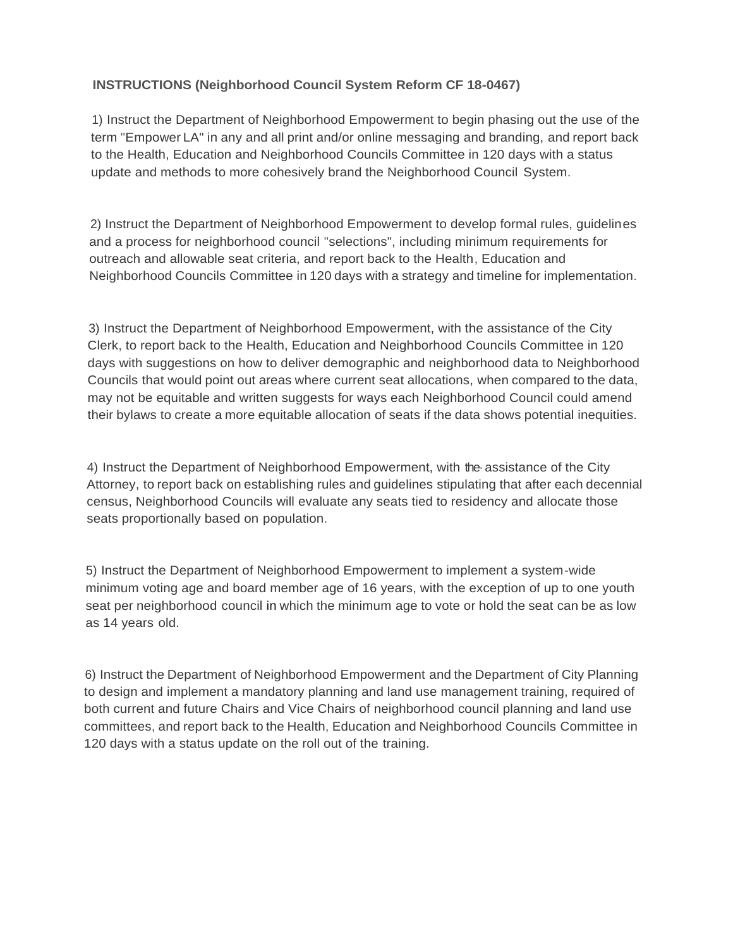## **INSTRUCTIONS (Neighborhood Council System Reform CF 18-0467)**

1) Instruct the Department of Neighborhood Empowerment to begin phasing out the use of the term "Empower LA" in any and all print and/or online messaging and branding, and report back to the Health, Education and Neighborhood Councils Committee in 120 days with a status update and methods to more cohesively brand the Neighborhood Council System.

2) Instruct the Department of Neighborhood Empowerment to develop formal rules, guidelines and a process for neighborhood council "selections", including minimum requirements for outreach and allowable seat criteria, and report back to the Health, Education and Neighborhood Councils Committee in 120 days with a strategy and timeline for implementation.

3) Instruct the Department of Neighborhood Empowerment, with the assistance of the City Clerk, to report back to the Health, Education and Neighborhood Councils Committee in 120 days with suggestions on how to deliver demographic and neighborhood data to Neighborhood Councils that would point out areas where current seat allocations, when compared to the data, may not be equitable and written suggests for ways each Neighborhood Council could amend their bylaws to create a more equitable allocation of seats if the data shows potential inequities.

4) Instruct the Department of Neighborhood Empowerment, with the· assistance of the City Attorney, to report back on establishing rules and guidelines stipulating that after each decennial census, Neighborhood Councils will evaluate any seats tied to residency and allocate those seats proportionally based on population.

5) Instruct the Department of Neighborhood Empowerment to implement a system-wide minimum voting age and board member age of 16 years, with the exception of up to one youth seat per neighborhood council in which the minimum age to vote or hold the seat can be as low as 14 years old.

6) Instruct the Department of Neighborhood Empowerment and the Department of City Planning to design and implement a mandatory planning and land use management training, required of both current and future Chairs and Vice Chairs of neighborhood council planning and land use committees, and report back to the Health, Education and Neighborhood Councils Committee in 120 days with a status update on the roll out of the training.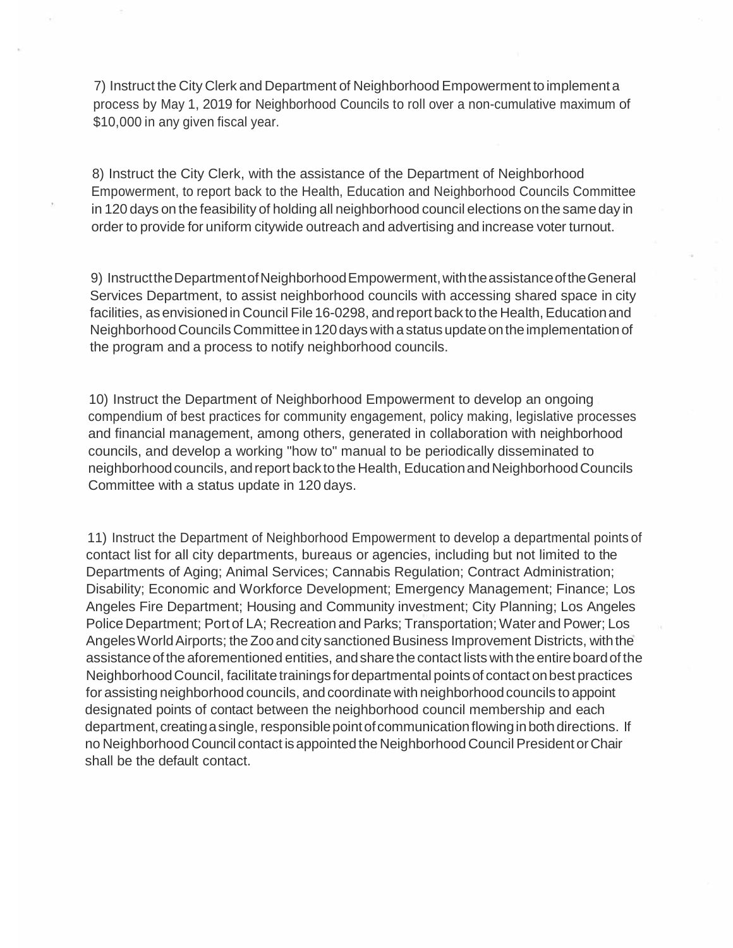7) Instruct the City Clerk and Department of Neighborhood Empowerment to implement a process by May 1, 2019 for Neighborhood Councils to roll over a non-cumulative maximum of \$10,000 in any given fiscal year.

8) Instruct the City Clerk, with the assistance of the Department of Neighborhood Empowerment, to report back to the Health, Education and Neighborhood Councils Committee in 120 days on the feasibility of holding all neighborhood council elections on the sameday in order to provide for uniform citywide outreach and advertising and increase voter turnout.

9) InstructtheDepartmentofNeighborhoodEmpowerment,withtheassistanceoftheGeneral Services Department, to assist neighborhood councils with accessing shared space in city facilities, as envisioned in Council File 16-0298, and report back to the Health, Education and Neighborhood Councils Committee in 120 days with a status update on the implementation of the program and a process to notify neighborhood councils.

10) Instruct the Department of Neighborhood Empowerment to develop an ongoing compendium of best practices for community engagement, policy making, legislative processes and financial management, among others, generated in collaboration with neighborhood councils, and develop a working "how to" manual to be periodically disseminated to neighborhood councils, and report back to the Health, Education and Neighborhood Councils Committee with a status update in 120 days.

11) Instruct the Department of Neighborhood Empowerment to develop a departmental points of contact list for all city departments, bureaus or agencies, including but not limited to the Departments of Aging; Animal Services; Cannabis Regulation; Contract Administration; Disability; Economic and Workforce Development; Emergency Management; Finance; Los Angeles Fire Department; Housing and Community investment; City Planning; Los Angeles Police Department; Port of LA; Recreation and Parks; Transportation; Water and Power; Los Angeles World Airports; the Zoo and city sanctioned Business Improvement Districts, with the assistance of the aforementioned entities, and share the contact lists with the entire board of the NeighborhoodCouncil, facilitate trainings fordepartmental points of contact onbest practices for assisting neighborhood councils, and coordinate with neighborhoodcouncils to appoint designated points of contact between the neighborhood council membership and each department, creating a single, responsible point of communication flowing in both directions. If no Neighborhood Council contact is appointed the Neighborhood Council President or Chair shall be the default contact.